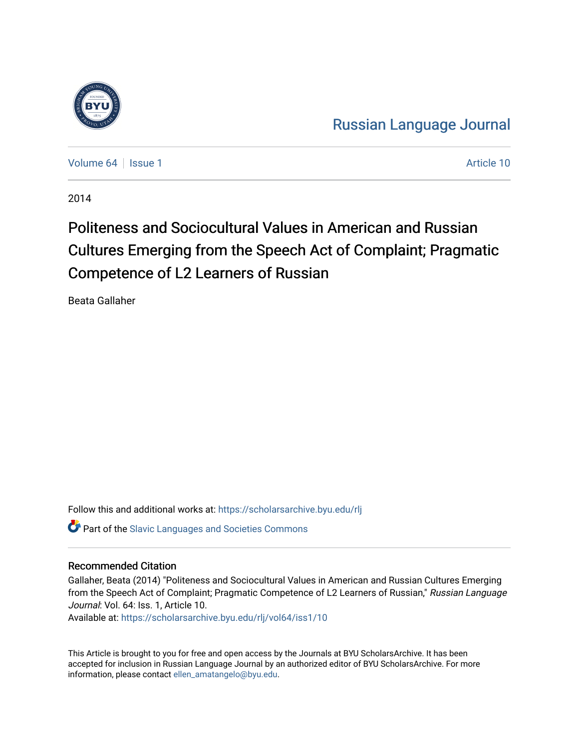

[Russian Language Journal](https://scholarsarchive.byu.edu/rlj) 

[Volume 64](https://scholarsarchive.byu.edu/rlj/vol64) | [Issue 1](https://scholarsarchive.byu.edu/rlj/vol64/iss1) Article 10

2014

# Politeness and Sociocultural Values in American and Russian Cultures Emerging from the Speech Act of Complaint; Pragmatic Competence of L2 Learners of Russian

Beata Gallaher

Follow this and additional works at: [https://scholarsarchive.byu.edu/rlj](https://scholarsarchive.byu.edu/rlj?utm_source=scholarsarchive.byu.edu%2Frlj%2Fvol64%2Fiss1%2F10&utm_medium=PDF&utm_campaign=PDFCoverPages)

**C** Part of the Slavic Languages and Societies Commons

#### Recommended Citation

Gallaher, Beata (2014) "Politeness and Sociocultural Values in American and Russian Cultures Emerging from the Speech Act of Complaint; Pragmatic Competence of L2 Learners of Russian," Russian Language Journal: Vol. 64: Iss. 1, Article 10.

Available at: [https://scholarsarchive.byu.edu/rlj/vol64/iss1/10](https://scholarsarchive.byu.edu/rlj/vol64/iss1/10?utm_source=scholarsarchive.byu.edu%2Frlj%2Fvol64%2Fiss1%2F10&utm_medium=PDF&utm_campaign=PDFCoverPages)

This Article is brought to you for free and open access by the Journals at BYU ScholarsArchive. It has been accepted for inclusion in Russian Language Journal by an authorized editor of BYU ScholarsArchive. For more information, please contact [ellen\\_amatangelo@byu.edu.](mailto:ellen_amatangelo@byu.edu)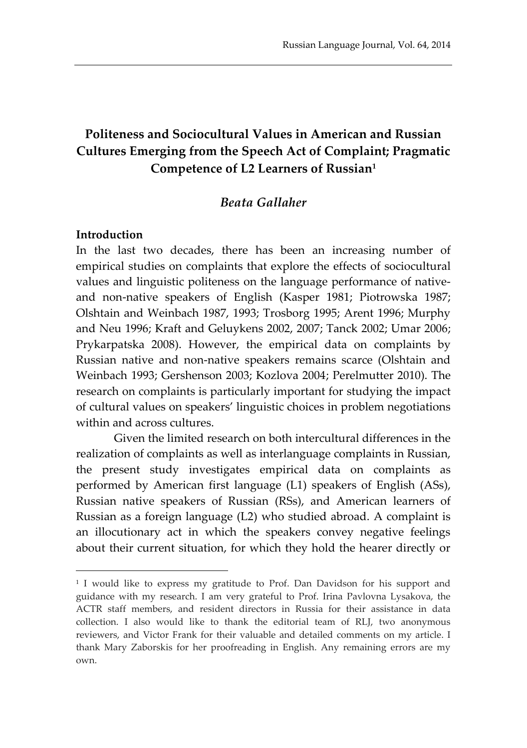# **Politeness and Sociocultural Values in American and Russian Cultures Emerging from the Speech Act of Complaint; Pragmatic Competence of L2 Learners of Russian<sup>1</sup>**

#### *Beata Gallaher*

#### **Introduction**

 $\overline{a}$ 

In the last two decades, there has been an increasing number of empirical studies on complaints that explore the effects of sociocultural values and linguistic politeness on the language performance of nativeand non-native speakers of English (Kasper 1981; Piotrowska 1987; Olshtain and Weinbach 1987, 1993; Trosborg 1995; Arent 1996; Murphy and Neu 1996; Kraft and Geluykens 2002, 2007; Tanck 2002; Umar 2006; Prykarpatska 2008). However, the empirical data on complaints by Russian native and non-native speakers remains scarce (Olshtain and Weinbach 1993; Gershenson 2003; Kozlova 2004; Perelmutter 2010). The research on complaints is particularly important for studying the impact of cultural values on speakers' linguistic choices in problem negotiations within and across cultures.

Given the limited research on both intercultural differences in the realization of complaints as well as interlanguage complaints in Russian, the present study investigates empirical data on complaints as performed by American first language (L1) speakers of English (ASs), Russian native speakers of Russian (RSs), and American learners of Russian as a foreign language (L2) who studied abroad. A complaint is an illocutionary act in which the speakers convey negative feelings about their current situation, for which they hold the hearer directly or

<sup>1</sup> I would like to express my gratitude to Prof. Dan Davidson for his support and guidance with my research. I am very grateful to Prof. Irina Pavlovna Lysakova, the ACTR staff members, and resident directors in Russia for their assistance in data collection. I also would like to thank the editorial team of RLJ, two anonymous reviewers, and Victor Frank for their valuable and detailed comments on my article. I thank Mary Zaborskis for her proofreading in English. Any remaining errors are my own.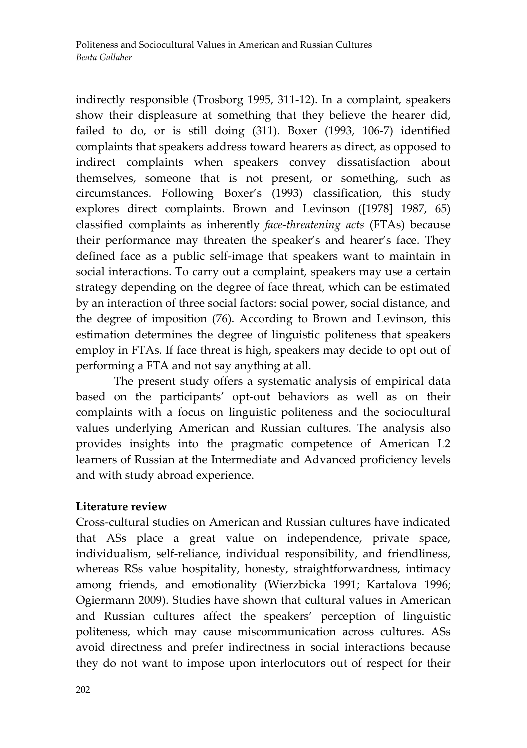indirectly responsible (Trosborg 1995, 311-12). In a complaint, speakers show their displeasure at something that they believe the hearer did, failed to do, or is still doing (311). Boxer (1993, 106-7) identified complaints that speakers address toward hearers as direct, as opposed to indirect complaints when speakers convey dissatisfaction about themselves, someone that is not present, or something, such as circumstances. Following Boxer's (1993) classification, this study explores direct complaints. Brown and Levinson ([1978] 1987, 65) classified complaints as inherently *face-threatening acts* (FTAs) because their performance may threaten the speaker's and hearer's face. They defined face as a public self-image that speakers want to maintain in social interactions. To carry out a complaint, speakers may use a certain strategy depending on the degree of face threat, which can be estimated by an interaction of three social factors: social power, social distance, and the degree of imposition (76). According to Brown and Levinson, this estimation determines the degree of linguistic politeness that speakers employ in FTAs. If face threat is high, speakers may decide to opt out of performing a FTA and not say anything at all.

The present study offers a systematic analysis of empirical data based on the participants' opt-out behaviors as well as on their complaints with a focus on linguistic politeness and the sociocultural values underlying American and Russian cultures. The analysis also provides insights into the pragmatic competence of American L2 learners of Russian at the Intermediate and Advanced proficiency levels and with study abroad experience.

#### **Literature review**

Cross-cultural studies on American and Russian cultures have indicated that ASs place a great value on independence, private space, individualism, self-reliance, individual responsibility, and friendliness, whereas RSs value hospitality, honesty, straightforwardness, intimacy among friends, and emotionality (Wierzbicka 1991; Kartalova 1996; Ogiermann 2009). Studies have shown that cultural values in American and Russian cultures affect the speakers' perception of linguistic politeness, which may cause miscommunication across cultures. ASs avoid directness and prefer indirectness in social interactions because they do not want to impose upon interlocutors out of respect for their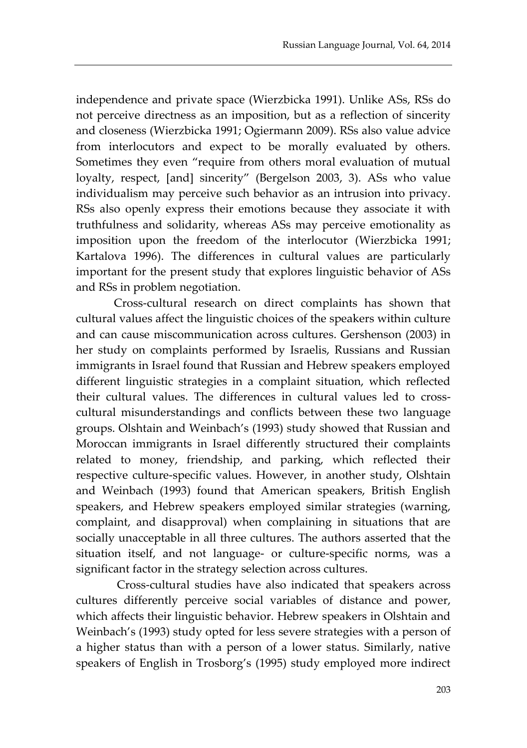independence and private space (Wierzbicka 1991). Unlike ASs, RSs do not perceive directness as an imposition, but as a reflection of sincerity and closeness (Wierzbicka 1991; Ogiermann 2009). RSs also value advice from interlocutors and expect to be morally evaluated by others. Sometimes they even "require from others moral evaluation of mutual loyalty, respect, [and] sincerity" (Bergelson 2003, 3). ASs who value individualism may perceive such behavior as an intrusion into privacy. RSs also openly express their emotions because they associate it with truthfulness and solidarity, whereas ASs may perceive emotionality as imposition upon the freedom of the interlocutor (Wierzbicka 1991; Kartalova 1996). The differences in cultural values are particularly important for the present study that explores linguistic behavior of ASs and RSs in problem negotiation.

Cross-cultural research on direct complaints has shown that cultural values affect the linguistic choices of the speakers within culture and can cause miscommunication across cultures. Gershenson (2003) in her study on complaints performed by Israelis, Russians and Russian immigrants in Israel found that Russian and Hebrew speakers employed different linguistic strategies in a complaint situation, which reflected their cultural values. The differences in cultural values led to crosscultural misunderstandings and conflicts between these two language groups. Olshtain and Weinbach's (1993) study showed that Russian and Moroccan immigrants in Israel differently structured their complaints related to money, friendship, and parking, which reflected their respective culture-specific values. However, in another study, Olshtain and Weinbach (1993) found that American speakers, British English speakers, and Hebrew speakers employed similar strategies (warning, complaint, and disapproval) when complaining in situations that are socially unacceptable in all three cultures. The authors asserted that the situation itself, and not language- or culture-specific norms, was a significant factor in the strategy selection across cultures.

Cross-cultural studies have also indicated that speakers across cultures differently perceive social variables of distance and power, which affects their linguistic behavior. Hebrew speakers in Olshtain and Weinbach's (1993) study opted for less severe strategies with a person of a higher status than with a person of a lower status. Similarly, native speakers of English in Trosborg's (1995) study employed more indirect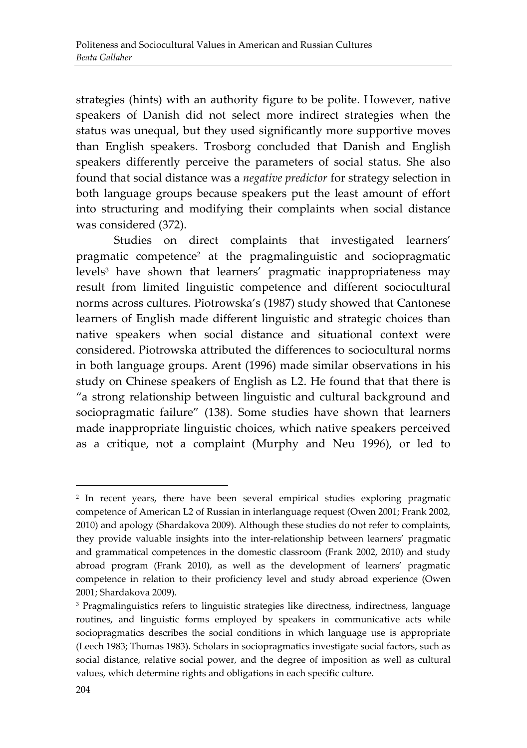strategies (hints) with an authority figure to be polite. However, native speakers of Danish did not select more indirect strategies when the status was unequal, but they used significantly more supportive moves than English speakers. Trosborg concluded that Danish and English speakers differently perceive the parameters of social status. She also found that social distance was a *negative predictor* for strategy selection in both language groups because speakers put the least amount of effort into structuring and modifying their complaints when social distance was considered (372).

Studies on direct complaints that investigated learners' pragmatic competence<sup>2</sup> at the pragmalinguistic and sociopragmatic levels<sup>3</sup> have shown that learners' pragmatic inappropriateness may result from limited linguistic competence and different sociocultural norms across cultures. Piotrowska's (1987) study showed that Cantonese learners of English made different linguistic and strategic choices than native speakers when social distance and situational context were considered. Piotrowska attributed the differences to sociocultural norms in both language groups. Arent (1996) made similar observations in his study on Chinese speakers of English as L2. He found that that there is "a strong relationship between linguistic and cultural background and sociopragmatic failure" (138). Some studies have shown that learners made inappropriate linguistic choices, which native speakers perceived as a critique, not a complaint (Murphy and Neu 1996), or led to

<sup>2</sup> In recent years, there have been several empirical studies exploring pragmatic competence of American L2 of Russian in interlanguage request (Owen 2001; Frank 2002, 2010) and apology (Shardakova 2009). Although these studies do not refer to complaints, they provide valuable insights into the inter-relationship between learners' pragmatic and grammatical competences in the domestic classroom (Frank 2002, 2010) and study abroad program (Frank 2010), as well as the development of learners' pragmatic competence in relation to their proficiency level and study abroad experience (Owen 2001; Shardakova 2009).

<sup>3</sup> Pragmalinguistics refers to linguistic strategies like directness, indirectness, language routines, and linguistic forms employed by speakers in communicative acts while sociopragmatics describes the social conditions in which language use is appropriate (Leech 1983; Thomas 1983). Scholars in sociopragmatics investigate social factors, such as social distance, relative social power, and the degree of imposition as well as cultural values, which determine rights and obligations in each specific culture.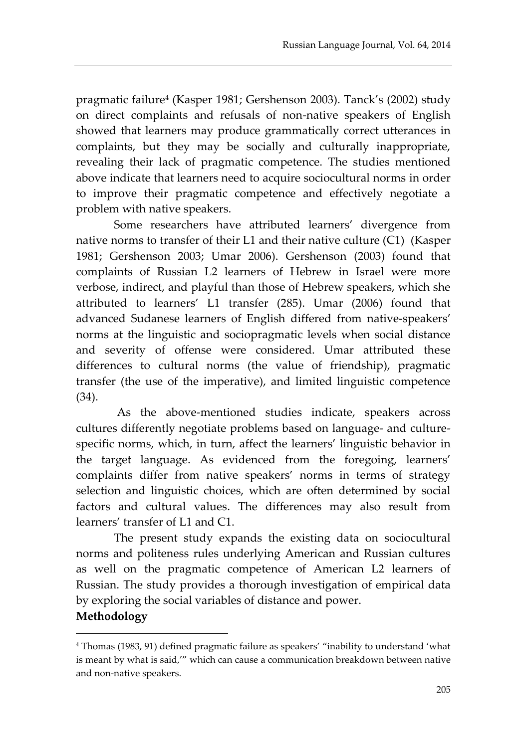pragmatic failure<sup>4</sup> (Kasper 1981; Gershenson 2003). Tanck's (2002) study on direct complaints and refusals of non-native speakers of English showed that learners may produce grammatically correct utterances in complaints, but they may be socially and culturally inappropriate, revealing their lack of pragmatic competence. The studies mentioned above indicate that learners need to acquire sociocultural norms in order to improve their pragmatic competence and effectively negotiate a problem with native speakers.

Some researchers have attributed learners' divergence from native norms to transfer of their L1 and their native culture (C1) (Kasper 1981; Gershenson 2003; Umar 2006). Gershenson (2003) found that complaints of Russian L2 learners of Hebrew in Israel were more verbose, indirect, and playful than those of Hebrew speakers, which she attributed to learners' L1 transfer (285). Umar (2006) found that advanced Sudanese learners of English differed from native-speakers' norms at the linguistic and sociopragmatic levels when social distance and severity of offense were considered. Umar attributed these differences to cultural norms (the value of friendship), pragmatic transfer (the use of the imperative), and limited linguistic competence (34).

As the above-mentioned studies indicate, speakers across cultures differently negotiate problems based on language- and culturespecific norms, which, in turn, affect the learners' linguistic behavior in the target language. As evidenced from the foregoing, learners' complaints differ from native speakers' norms in terms of strategy selection and linguistic choices, which are often determined by social factors and cultural values. The differences may also result from learners' transfer of L1 and C1.

The present study expands the existing data on sociocultural norms and politeness rules underlying American and Russian cultures as well on the pragmatic competence of American L2 learners of Russian. The study provides a thorough investigation of empirical data by exploring the social variables of distance and power.

## **Methodology**

<sup>4</sup> Thomas (1983, 91) defined pragmatic failure as speakers' "inability to understand 'what is meant by what is said,'" which can cause a communication breakdown between native and non-native speakers.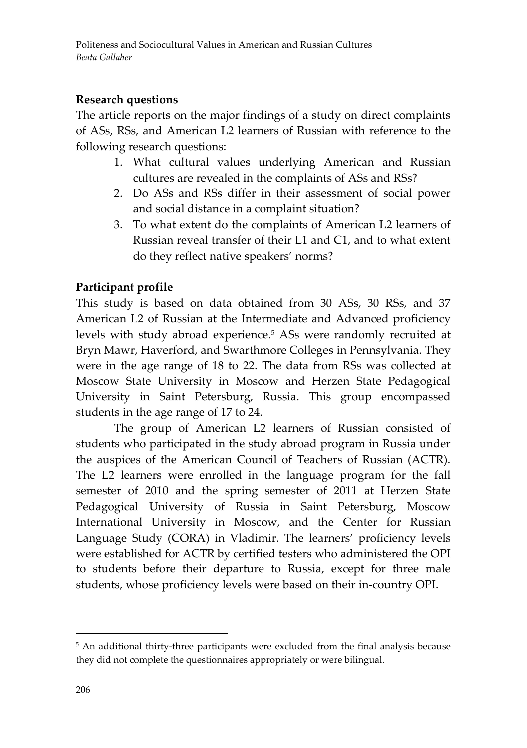## **Research questions**

The article reports on the major findings of a study on direct complaints of ASs, RSs, and American L2 learners of Russian with reference to the following research questions:

- 1. What cultural values underlying American and Russian cultures are revealed in the complaints of ASs and RSs?
- 2. Do ASs and RSs differ in their assessment of social power and social distance in a complaint situation?
- 3. To what extent do the complaints of American L2 learners of Russian reveal transfer of their L1 and C1, and to what extent do they reflect native speakers' norms?

# **Participant profile**

This study is based on data obtained from 30 ASs, 30 RSs, and 37 American L2 of Russian at the Intermediate and Advanced proficiency levels with study abroad experience. <sup>5</sup> ASs were randomly recruited at Bryn Mawr, Haverford, and Swarthmore Colleges in Pennsylvania. They were in the age range of 18 to 22. The data from RSs was collected at Moscow State University in Moscow and Herzen State Pedagogical University in Saint Petersburg, Russia. This group encompassed students in the age range of 17 to 24.

The group of American L2 learners of Russian consisted of students who participated in the study abroad program in Russia under the auspices of the American Council of Teachers of Russian (ACTR). The L2 learners were enrolled in the language program for the fall semester of 2010 and the spring semester of 2011 at Herzen State Pedagogical University of Russia in Saint Petersburg, Moscow International University in Moscow, and the Center for Russian Language Study (CORA) in Vladimir. The learners' proficiency levels were established for ACTR by certified testers who administered the OPI to students before their departure to Russia, except for three male students, whose proficiency levels were based on their in-country OPI.

<sup>5</sup> An additional thirty-three participants were excluded from the final analysis because they did not complete the questionnaires appropriately or were bilingual.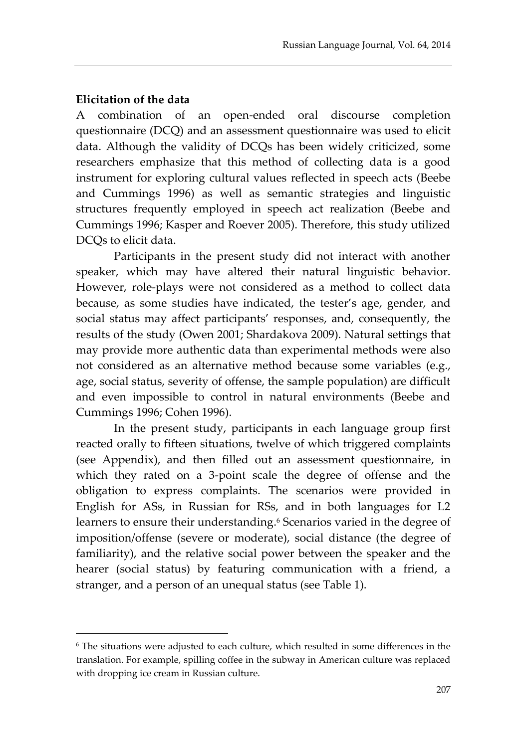#### **Elicitation of the data**

 $\overline{a}$ 

A combination of an open-ended oral discourse completion questionnaire (DCQ) and an assessment questionnaire was used to elicit data. Although the validity of DCQs has been widely criticized, some researchers emphasize that this method of collecting data is a good instrument for exploring cultural values reflected in speech acts (Beebe and Cummings 1996) as well as semantic strategies and linguistic structures frequently employed in speech act realization (Beebe and Cummings 1996; Kasper and Roever 2005). Therefore, this study utilized DCQs to elicit data.

Participants in the present study did not interact with another speaker, which may have altered their natural linguistic behavior. However, role-plays were not considered as a method to collect data because, as some studies have indicated, the tester's age, gender, and social status may affect participants' responses, and, consequently, the results of the study (Owen 2001; Shardakova 2009). Natural settings that may provide more authentic data than experimental methods were also not considered as an alternative method because some variables (e.g., age, social status, severity of offense, the sample population) are difficult and even impossible to control in natural environments (Beebe and Cummings 1996; Cohen 1996).

In the present study, participants in each language group first reacted orally to fifteen situations, twelve of which triggered complaints (see Appendix), and then filled out an assessment questionnaire, in which they rated on a 3-point scale the degree of offense and the obligation to express complaints. The scenarios were provided in English for ASs, in Russian for RSs, and in both languages for L2 learners to ensure their understanding. <sup>6</sup> Scenarios varied in the degree of imposition/offense (severe or moderate), social distance (the degree of familiarity), and the relative social power between the speaker and the hearer (social status) by featuring communication with a friend, a stranger, and a person of an unequal status (see Table 1).

<sup>6</sup> The situations were adjusted to each culture, which resulted in some differences in the translation. For example, spilling coffee in the subway in American culture was replaced with dropping ice cream in Russian culture.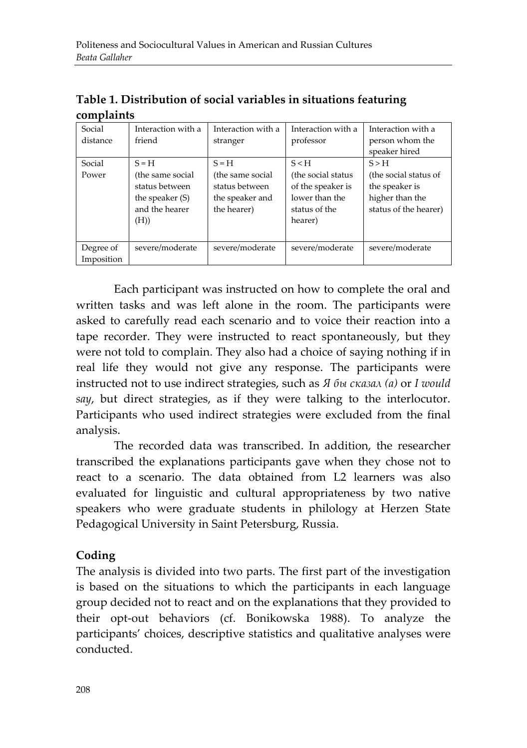| complaints |                    |                    |                    |                       |  |
|------------|--------------------|--------------------|--------------------|-----------------------|--|
| Social     | Interaction with a | Interaction with a | Interaction with a | Interaction with a    |  |
| distance   | friend             | stranger           | professor          | person whom the       |  |
|            |                    |                    |                    | speaker hired         |  |
| Social     | $S = H$            | $S = H$            | S < H              | S > H                 |  |
| Power      | (the same social   | (the same social   | (the social status | (the social status of |  |
|            | status between     | status between     | of the speaker is  | the speaker is        |  |
|            | the speaker $(S)$  | the speaker and    | lower than the     | higher than the       |  |
|            | and the hearer     | the hearer)        | status of the      | status of the hearer) |  |
|            | (H))               |                    | hearer)            |                       |  |
|            |                    |                    |                    |                       |  |
| Degree of  | severe/moderate    | severe/moderate    | severe/moderate    | severe/moderate       |  |
| Imposition |                    |                    |                    |                       |  |

**Table 1. Distribution of social variables in situations featuring complaints**

Each participant was instructed on how to complete the oral and written tasks and was left alone in the room. The participants were asked to carefully read each scenario and to voice their reaction into a tape recorder. They were instructed to react spontaneously, but they were not told to complain. They also had a choice of saying nothing if in real life they would not give any response. The participants were instructed not to use indirect strategies, such as *Я бы сказал (а)* or *I would say*, but direct strategies, as if they were talking to the interlocutor. Participants who used indirect strategies were excluded from the final analysis.

The recorded data was transcribed. In addition, the researcher transcribed the explanations participants gave when they chose not to react to a scenario. The data obtained from L2 learners was also evaluated for linguistic and cultural appropriateness by two native speakers who were graduate students in philology at Herzen State Pedagogical University in Saint Petersburg, Russia.

#### **Coding**

The analysis is divided into two parts. The first part of the investigation is based on the situations to which the participants in each language group decided not to react and on the explanations that they provided to their opt-out behaviors (cf. Bonikowska 1988). To analyze the participants' choices, descriptive statistics and qualitative analyses were conducted.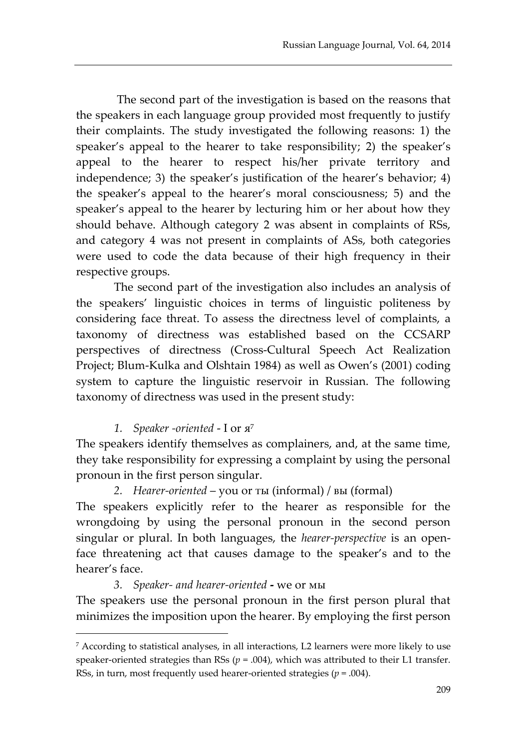The second part of the investigation is based on the reasons that the speakers in each language group provided most frequently to justify their complaints. The study investigated the following reasons: 1) the speaker's appeal to the hearer to take responsibility; 2) the speaker's appeal to the hearer to respect his/her private territory and independence; 3) the speaker's justification of the hearer's behavior; 4) the speaker's appeal to the hearer's moral consciousness; 5) and the speaker's appeal to the hearer by lecturing him or her about how they should behave. Although category 2 was absent in complaints of RSs, and category 4 was not present in complaints of ASs, both categories were used to code the data because of their high frequency in their respective groups.

The second part of the investigation also includes an analysis of the speakers' linguistic choices in terms of linguistic politeness by considering face threat. To assess the directness level of complaints, a taxonomy of directness was established based on the CCSARP perspectives of directness (Cross-Cultural Speech Act Realization Project; Blum-Kulka and Olshtain 1984) as well as Owen's (2001) coding system to capture the linguistic reservoir in Russian. The following taxonomy of directness was used in the present study:

# *1. Speaker -oriented* - I or я 7

 $\overline{a}$ 

The speakers identify themselves as complainers, and, at the same time, they take responsibility for expressing a complaint by using the personal pronoun in the first person singular.

#### *2. Hearer-oriented* – you or ты (informal) / вы (formal)

The speakers explicitly refer to the hearer as responsible for the wrongdoing by using the personal pronoun in the second person singular or plural. In both languages, the *hearer-perspective* is an openface threatening act that causes damage to the speaker's and to the hearer's face.

#### *3. Speaker- and hearer-oriented* **-** we or мы

The speakers use the personal pronoun in the first person plural that minimizes the imposition upon the hearer. By employing the first person

<sup>7</sup> According to statistical analyses, in all interactions, L2 learners were more likely to use speaker-oriented strategies than RSs ( $p = .004$ ), which was attributed to their L1 transfer. RSs, in turn, most frequently used hearer-oriented strategies ( $p = .004$ ).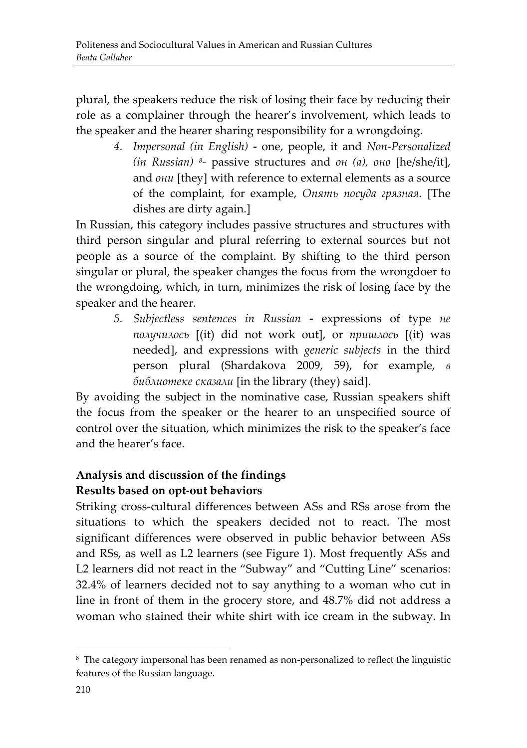plural, the speakers reduce the risk of losing their face by reducing their role as a complainer through the hearer's involvement, which leads to the speaker and the hearer sharing responsibility for a wrongdoing.

> *4. Impersonal (in English)* **-** one, people, it and *Non-Personalized (in Russian) <sup>8</sup> -* passive structures and *он (а), оно* [he/she/it], and *они* [they] with reference to external elements as a source of the complaint, for example, *Опять посуда грязная.* [The dishes are dirty again.]

In Russian, this category includes passive structures and structures with third person singular and plural referring to external sources but not people as a source of the complaint. By shifting to the third person singular or plural, the speaker changes the focus from the wrongdoer to the wrongdoing, which, in turn, minimizes the risk of losing face by the speaker and the hearer.

> *5. Subjectless sentences in Russian* **-** expressions of type *не получилось* [(it) did not work out], or *пришлось* [(it) was needed], and expressions with *generic subjects* in the third person plural (Shardakova 2009, 59), for example, *в библиотеке сказали* [in the library (they) said]*.*

By avoiding the subject in the nominative case, Russian speakers shift the focus from the speaker or the hearer to an unspecified source of control over the situation, which minimizes the risk to the speaker's face and the hearer's face.

# **Analysis and discussion of the findings Results based on opt-out behaviors**

Striking cross-cultural differences between ASs and RSs arose from the situations to which the speakers decided not to react. The most significant differences were observed in public behavior between ASs and RSs, as well as L2 learners (see Figure 1). Most frequently ASs and L2 learners did not react in the "Subway" and "Cutting Line" scenarios: 32.4% of learners decided not to say anything to a woman who cut in line in front of them in the grocery store, and 48.7% did not address a woman who stained their white shirt with ice cream in the subway. In

<sup>8</sup> The category impersonal has been renamed as non-personalized to reflect the linguistic features of the Russian language.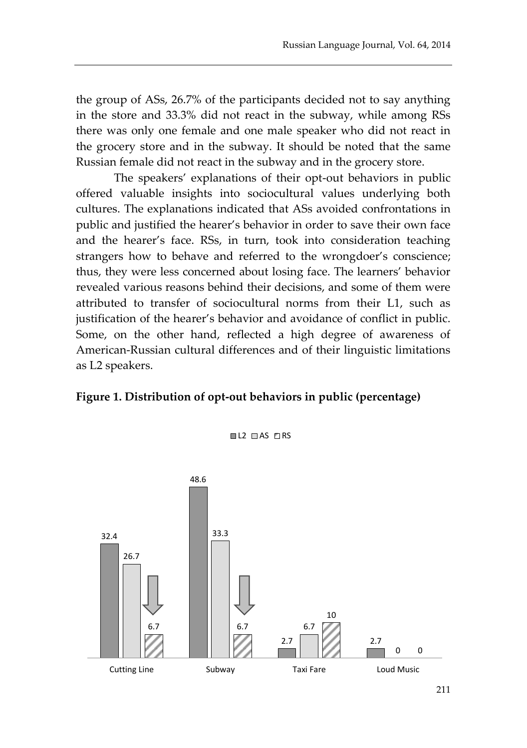the group of ASs, 26.7% of the participants decided not to say anything in the store and 33.3% did not react in the subway, while among RSs there was only one female and one male speaker who did not react in the grocery store and in the subway. It should be noted that the same Russian female did not react in the subway and in the grocery store.

The speakers' explanations of their opt-out behaviors in public offered valuable insights into sociocultural values underlying both cultures. The explanations indicated that ASs avoided confrontations in public and justified the hearer's behavior in order to save their own face and the hearer's face. RSs, in turn, took into consideration teaching strangers how to behave and referred to the wrongdoer's conscience; thus, they were less concerned about losing face. The learners' behavior revealed various reasons behind their decisions, and some of them were attributed to transfer of sociocultural norms from their L1, such as justification of the hearer's behavior and avoidance of conflict in public. Some, on the other hand, reflected a high degree of awareness of American-Russian cultural differences and of their linguistic limitations as L2 speakers.

#### **Figure 1. Distribution of opt-out behaviors in public (percentage)**



 $\blacksquare$  L2  $\blacksquare$  AS  $\blacksquare$  RS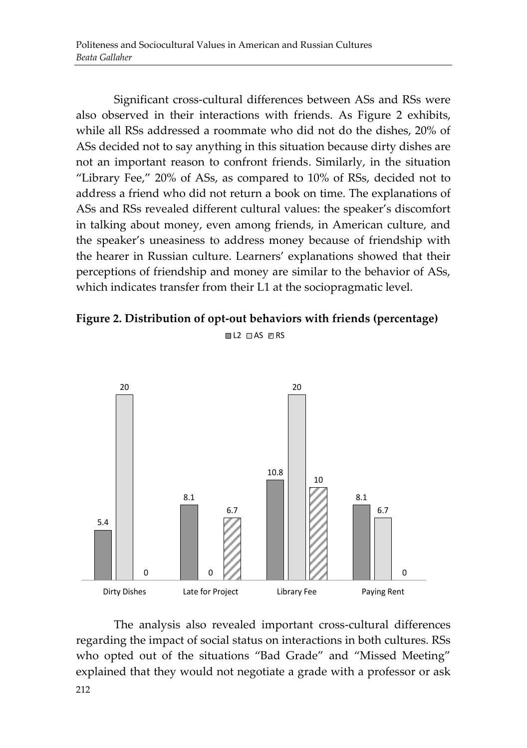Significant cross-cultural differences between ASs and RSs were also observed in their interactions with friends. As Figure 2 exhibits, while all RSs addressed a roommate who did not do the dishes, 20% of ASs decided not to say anything in this situation because dirty dishes are not an important reason to confront friends. Similarly, in the situation "Library Fee," 20% of ASs, as compared to 10% of RSs, decided not to address a friend who did not return a book on time. The explanations of ASs and RSs revealed different cultural values: the speaker's discomfort in talking about money, even among friends, in American culture, and the speaker's uneasiness to address money because of friendship with the hearer in Russian culture. Learners' explanations showed that their perceptions of friendship and money are similar to the behavior of ASs, which indicates transfer from their L1 at the sociopragmatic level.

#### **Figure 2. Distribution of opt-out behaviors with friends (percentage)**

 $\blacksquare$  L2  $\blacksquare$  AS  $\blacksquare$  RS



212 The analysis also revealed important cross-cultural differences regarding the impact of social status on interactions in both cultures. RSs who opted out of the situations "Bad Grade" and "Missed Meeting" explained that they would not negotiate a grade with a professor or ask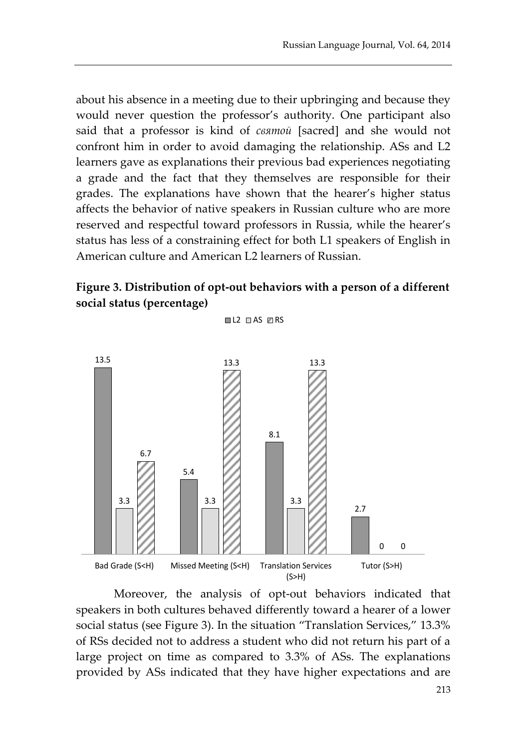about his absence in a meeting due to their upbringing and because they would never question the professor's authority. One participant also said that a professor is kind of *святой* [sacred] and she would not confront him in order to avoid damaging the relationship. ASs and L2 learners gave as explanations their previous bad experiences negotiating a grade and the fact that they themselves are responsible for their grades. The explanations have shown that the hearer's higher status affects the behavior of native speakers in Russian culture who are more reserved and respectful toward professors in Russia, while the hearer's status has less of a constraining effect for both L1 speakers of English in American culture and American L2 learners of Russian.

## **Figure 3. Distribution of opt-out behaviors with a person of a different social status (percentage)**

 $\Box$  2  $\Box$  AS  $\Box$  RS



Moreover, the analysis of opt-out behaviors indicated that speakers in both cultures behaved differently toward a hearer of a lower social status (see Figure 3). In the situation "Translation Services," 13.3% of RSs decided not to address a student who did not return his part of a large project on time as compared to 3.3% of ASs. The explanations provided by ASs indicated that they have higher expectations and are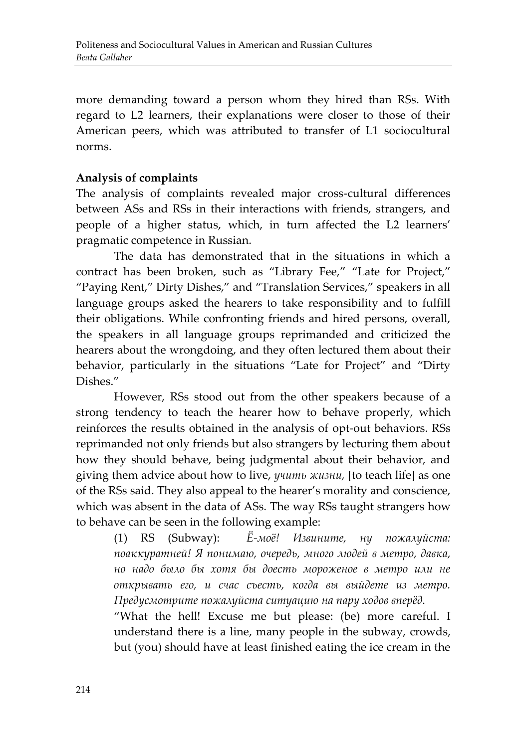more demanding toward a person whom they hired than RSs. With regard to L2 learners, their explanations were closer to those of their American peers, which was attributed to transfer of L1 sociocultural norms.

## **Analysis of complaints**

The analysis of complaints revealed major cross-cultural differences between ASs and RSs in their interactions with friends, strangers, and people of a higher status, which, in turn affected the L2 learners' pragmatic competence in Russian.

The data has demonstrated that in the situations in which a contract has been broken, such as "Library Fee," "Late for Project," "Paying Rent," Dirty Dishes," and "Translation Services," speakers in all language groups asked the hearers to take responsibility and to fulfill their obligations. While confronting friends and hired persons, overall, the speakers in all language groups reprimanded and criticized the hearers about the wrongdoing, and they often lectured them about their behavior, particularly in the situations "Late for Project" and "Dirty Dishes."

However, RSs stood out from the other speakers because of a strong tendency to teach the hearer how to behave properly, which reinforces the results obtained in the analysis of opt-out behaviors. RSs reprimanded not only friends but also strangers by lecturing them about how they should behave, being judgmental about their behavior, and giving them advice about how to live, *учить жизни,* [to teach life] as one of the RSs said. They also appeal to the hearer's morality and conscience, which was absent in the data of ASs. The way RSs taught strangers how to behave can be seen in the following example:

> (1) RS (Subway): *Ё-моё! Извините, нy пожалуйста: поаккуратней! Я понимаю, очередь, много людей в метро, давка, но надо было бы хотя бы доесть мороженое в метро или не открывать его, и счас съесть, когда вы выйдете из метро. Предусмотрите пожалуйста ситуацию на пару ходов вперёд.*

> "What the hell! Excuse me but please: (be) more careful. I understand there is a line, many people in the subway, crowds, but (you) should have at least finished eating the ice cream in the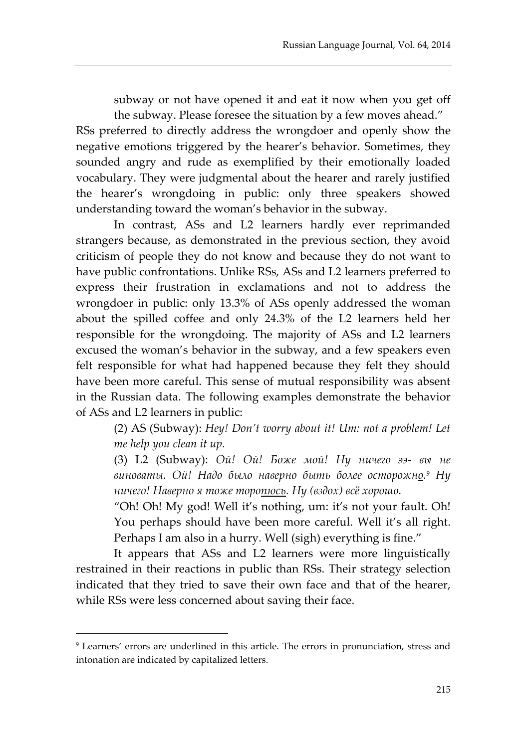subway or not have opened it and eat it now when you get off the subway. Please foresee the situation by a few moves ahead."

RSs preferred to directly address the wrongdoer and openly show the negative emotions triggered by the hearer's behavior. Sometimes, they sounded angry and rude as exemplified by their emotionally loaded vocabulary. They were judgmental about the hearer and rarely justified the hearer's wrongdoing in public: only three speakers showed understanding toward the woman's behavior in the subway.

In contrast, ASs and L2 learners hardly ever reprimanded strangers because, as demonstrated in the previous section, they avoid criticism of people they do not know and because they do not want to have public confrontations. Unlike RSs, ASs and L2 learners preferred to express their frustration in exclamations and not to address the wrongdoer in public: only 13.3% of ASs openly addressed the woman about the spilled coffee and only 24.3% of the L2 learners held her responsible for the wrongdoing. The majority of ASs and L2 learners excused the woman's behavior in the subway, and a few speakers even felt responsible for what had happened because they felt they should have been more careful. This sense of mutual responsibility was absent in the Russian data. The following examples demonstrate the behavior of ASs and L2 learners in public:

(2) AS (Subway): *Hey! Don't worry about it! Um: not a problem! Let me help you clean it up.* 

(3) L2 (Subway): *Ой! Ой! Боже мой! Ну ничего ээ- вы не виноваты. Ой! Надо было наверно быть более осторожно. <sup>9</sup> Ну ничего! Наверно я тоже торопюсь. Ну (вздох) всё хорошо.* 

"Oh! Oh! My god! Well it's nothing, um: it's not your fault. Oh! You perhaps should have been more careful. Well it's all right. Perhaps I am also in a hurry. Well (sigh) everything is fine."

It appears that ASs and L2 learners were more linguistically restrained in their reactions in public than RSs. Their strategy selection indicated that they tried to save their own face and that of the hearer, while RSs were less concerned about saving their face.

<sup>9</sup> Learners' errors are underlined in this article. The errors in pronunciation, stress and intonation are indicated by capitalized letters.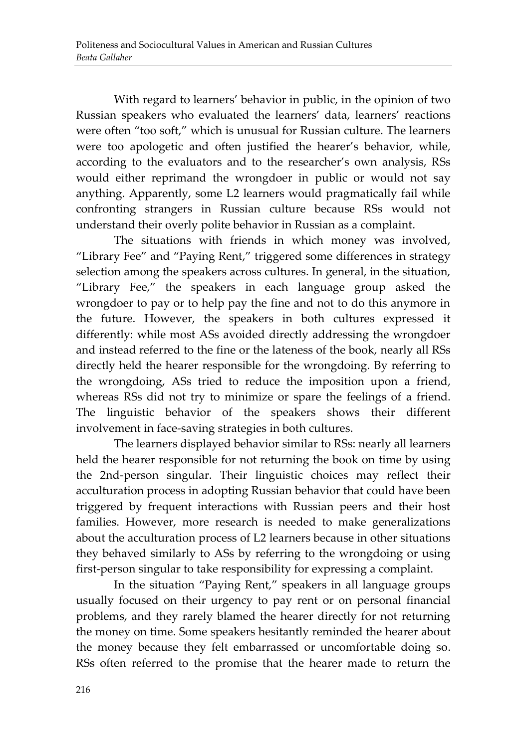With regard to learners' behavior in public, in the opinion of two Russian speakers who evaluated the learners' data, learners' reactions were often "too soft," which is unusual for Russian culture. The learners were too apologetic and often justified the hearer's behavior, while, according to the evaluators and to the researcher's own analysis, RSs would either reprimand the wrongdoer in public or would not say anything. Apparently, some L2 learners would pragmatically fail while confronting strangers in Russian culture because RSs would not understand their overly polite behavior in Russian as a complaint.

The situations with friends in which money was involved, "Library Fee" and "Paying Rent," triggered some differences in strategy selection among the speakers across cultures. In general, in the situation, "Library Fee," the speakers in each language group asked the wrongdoer to pay or to help pay the fine and not to do this anymore in the future. However, the speakers in both cultures expressed it differently: while most ASs avoided directly addressing the wrongdoer and instead referred to the fine or the lateness of the book, nearly all RSs directly held the hearer responsible for the wrongdoing. By referring to the wrongdoing, ASs tried to reduce the imposition upon a friend, whereas RSs did not try to minimize or spare the feelings of a friend. The linguistic behavior of the speakers shows their different involvement in face-saving strategies in both cultures.

The learners displayed behavior similar to RSs: nearly all learners held the hearer responsible for not returning the book on time by using the 2nd-person singular. Their linguistic choices may reflect their acculturation process in adopting Russian behavior that could have been triggered by frequent interactions with Russian peers and their host families. However, more research is needed to make generalizations about the acculturation process of L2 learners because in other situations they behaved similarly to ASs by referring to the wrongdoing or using first-person singular to take responsibility for expressing a complaint.

In the situation "Paying Rent," speakers in all language groups usually focused on their urgency to pay rent or on personal financial problems, and they rarely blamed the hearer directly for not returning the money on time. Some speakers hesitantly reminded the hearer about the money because they felt embarrassed or uncomfortable doing so. RSs often referred to the promise that the hearer made to return the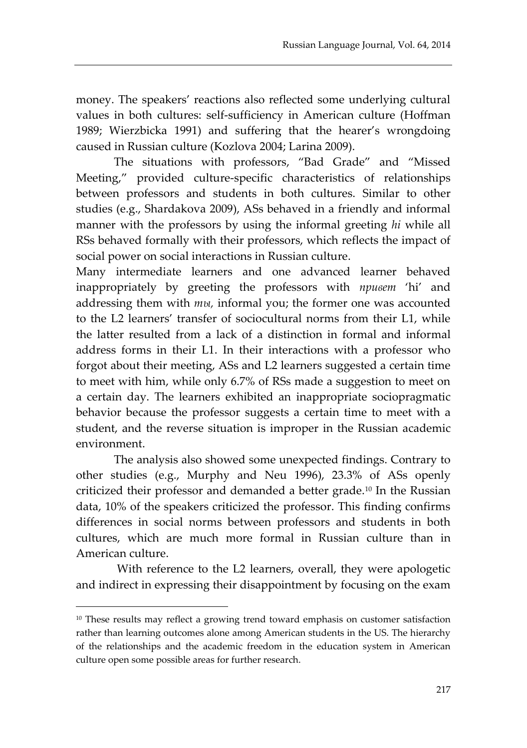money. The speakers' reactions also reflected some underlying cultural values in both cultures: self-sufficiency in American culture (Hoffman 1989; Wierzbicka 1991) and suffering that the hearer's wrongdoing caused in Russian culture (Kozlova 2004; Larina 2009).

The situations with professors, "Bad Grade" and "Missed Meeting," provided culture-specific characteristics of relationships between professors and students in both cultures. Similar to other studies (e.g., Shardakova 2009), ASs behaved in a friendly and informal manner with the professors by using the informal greeting *hi* while all RSs behaved formally with their professors, which reflects the impact of social power on social interactions in Russian culture.

Many intermediate learners and one advanced learner behaved inappropriately by greeting the professors with *привет* 'hi' and addressing them with *ты,* informal you; the former one was accounted to the L2 learners' transfer of sociocultural norms from their L1, while the latter resulted from a lack of a distinction in formal and informal address forms in their L1. In their interactions with a professor who forgot about their meeting, ASs and L2 learners suggested a certain time to meet with him, while only 6.7% of RSs made a suggestion to meet on a certain day. The learners exhibited an inappropriate sociopragmatic behavior because the professor suggests a certain time to meet with a student, and the reverse situation is improper in the Russian academic environment.

The analysis also showed some unexpected findings. Contrary to other studies (e.g., Murphy and Neu 1996), 23.3% of ASs openly criticized their professor and demanded a better grade.<sup>10</sup> In the Russian data, 10% of the speakers criticized the professor. This finding confirms differences in social norms between professors and students in both cultures, which are much more formal in Russian culture than in American culture.

With reference to the L2 learners, overall, they were apologetic and indirect in expressing their disappointment by focusing on the exam

<sup>&</sup>lt;sup>10</sup> These results may reflect a growing trend toward emphasis on customer satisfaction rather than learning outcomes alone among American students in the US. The hierarchy of the relationships and the academic freedom in the education system in American culture open some possible areas for further research.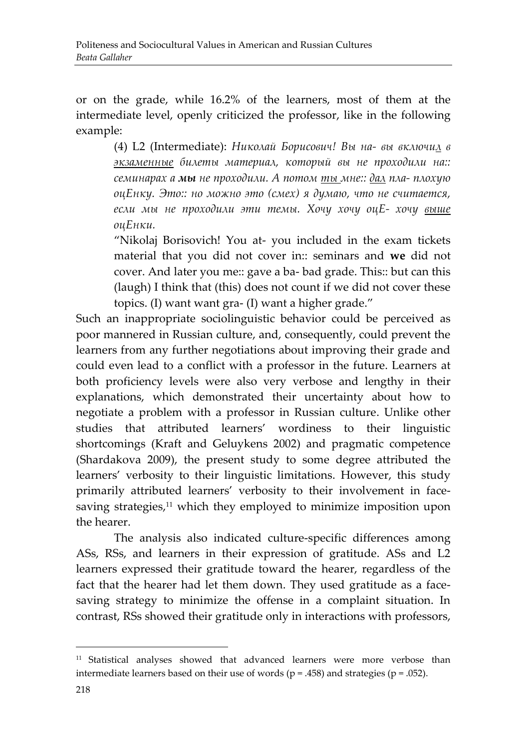or on the grade, while 16.2% of the learners, most of them at the intermediate level, openly criticized the professor, like in the following example:

(4) L2 (Intermediate): *Николай Борисович! Вы на- вы включил в экзаменные билеты материал, который вы не проходили на:: семинарах а мы не проходили. А потом ты мне:: дал пла- плохую оцЕнку. Это:: но можно это (смех) я думаю, что не считается, если мы не проходили эти темы. Хочу хочу оцЕ- хочу выше оцЕнки.* 

"Nikolaj Borisovich! You at- you included in the exam tickets material that you did not cover in:: seminars and **we** did not cover. And later you me:: gave a ba- bad grade. This:: but can this (laugh) I think that (this) does not count if we did not cover these topics. (I) want want gra- (I) want a higher grade."

Such an inappropriate sociolinguistic behavior could be perceived as poor mannered in Russian culture, and, consequently, could prevent the learners from any further negotiations about improving their grade and could even lead to a conflict with a professor in the future. Learners at both proficiency levels were also very verbose and lengthy in their explanations, which demonstrated their uncertainty about how to negotiate a problem with a professor in Russian culture. Unlike other studies that attributed learners' wordiness to their linguistic shortcomings (Kraft and Geluykens 2002) and pragmatic competence (Shardakova 2009), the present study to some degree attributed the learners' verbosity to their linguistic limitations. However, this study primarily attributed learners' verbosity to their involvement in facesaving strategies, <sup>11</sup> which they employed to minimize imposition upon the hearer.

The analysis also indicated culture-specific differences among ASs, RSs, and learners in their expression of gratitude. ASs and L2 learners expressed their gratitude toward the hearer, regardless of the fact that the hearer had let them down. They used gratitude as a facesaving strategy to minimize the offense in a complaint situation. In contrast, RSs showed their gratitude only in interactions with professors,

<sup>11</sup> Statistical analyses showed that advanced learners were more verbose than intermediate learners based on their use of words ( $p = .458$ ) and strategies ( $p = .052$ ).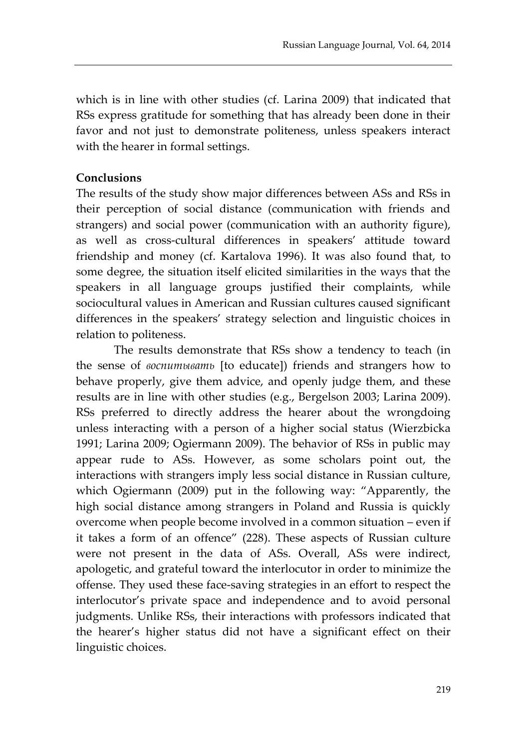which is in line with other studies (cf. Larina 2009) that indicated that RSs express gratitude for something that has already been done in their favor and not just to demonstrate politeness, unless speakers interact with the hearer in formal settings.

#### **Conclusions**

The results of the study show major differences between ASs and RSs in their perception of social distance (communication with friends and strangers) and social power (communication with an authority figure), as well as cross-cultural differences in speakers' attitude toward friendship and money (cf. Kartalova 1996). It was also found that, to some degree, the situation itself elicited similarities in the ways that the speakers in all language groups justified their complaints, while sociocultural values in American and Russian cultures caused significant differences in the speakers' strategy selection and linguistic choices in relation to politeness.

The results demonstrate that RSs show a tendency to teach (in the sense of *воспитывать* [to educate]) friends and strangers how to behave properly, give them advice, and openly judge them, and these results are in line with other studies (e.g., Bergelson 2003; Larina 2009). RSs preferred to directly address the hearer about the wrongdoing unless interacting with a person of a higher social status (Wierzbicka 1991; Larina 2009; Ogiermann 2009). The behavior of RSs in public may appear rude to ASs. However, as some scholars point out, the interactions with strangers imply less social distance in Russian culture, which Ogiermann (2009) put in the following way: "Apparently, the high social distance among strangers in Poland and Russia is quickly overcome when people become involved in a common situation – even if it takes a form of an offence" (228). These aspects of Russian culture were not present in the data of ASs. Overall, ASs were indirect, apologetic, and grateful toward the interlocutor in order to minimize the offense. They used these face-saving strategies in an effort to respect the interlocutor's private space and independence and to avoid personal judgments. Unlike RSs, their interactions with professors indicated that the hearer's higher status did not have a significant effect on their linguistic choices.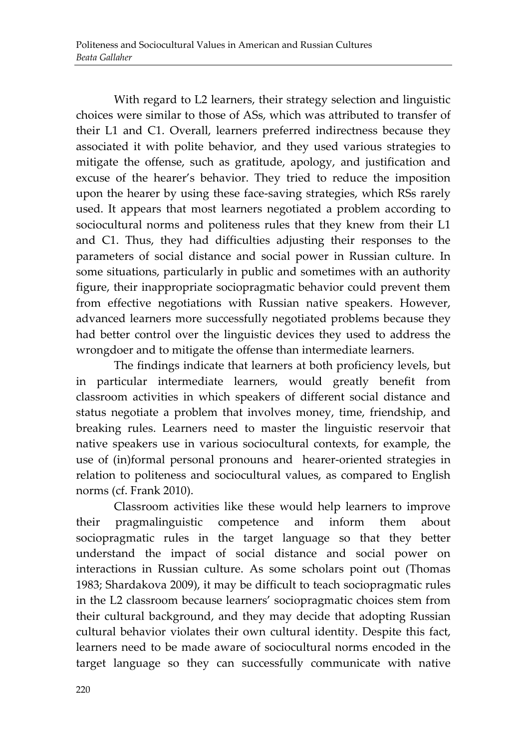With regard to L2 learners, their strategy selection and linguistic choices were similar to those of ASs, which was attributed to transfer of their L1 and C1. Overall, learners preferred indirectness because they associated it with polite behavior, and they used various strategies to mitigate the offense, such as gratitude, apology, and justification and excuse of the hearer's behavior. They tried to reduce the imposition upon the hearer by using these face-saving strategies, which RSs rarely used. It appears that most learners negotiated a problem according to sociocultural norms and politeness rules that they knew from their L1 and C1. Thus, they had difficulties adjusting their responses to the parameters of social distance and social power in Russian culture. In some situations, particularly in public and sometimes with an authority figure, their inappropriate sociopragmatic behavior could prevent them from effective negotiations with Russian native speakers. However, advanced learners more successfully negotiated problems because they had better control over the linguistic devices they used to address the wrongdoer and to mitigate the offense than intermediate learners.

The findings indicate that learners at both proficiency levels, but in particular intermediate learners, would greatly benefit from classroom activities in which speakers of different social distance and status negotiate a problem that involves money, time, friendship, and breaking rules. Learners need to master the linguistic reservoir that native speakers use in various sociocultural contexts, for example, the use of (in)formal personal pronouns and hearer-oriented strategies in relation to politeness and sociocultural values, as compared to English norms (cf. Frank 2010).

Classroom activities like these would help learners to improve their pragmalinguistic competence and inform them about sociopragmatic rules in the target language so that they better understand the impact of social distance and social power on interactions in Russian culture. As some scholars point out (Thomas 1983; Shardakova 2009), it may be difficult to teach sociopragmatic rules in the L2 classroom because learners' sociopragmatic choices stem from their cultural background, and they may decide that adopting Russian cultural behavior violates their own cultural identity. Despite this fact, learners need to be made aware of sociocultural norms encoded in the target language so they can successfully communicate with native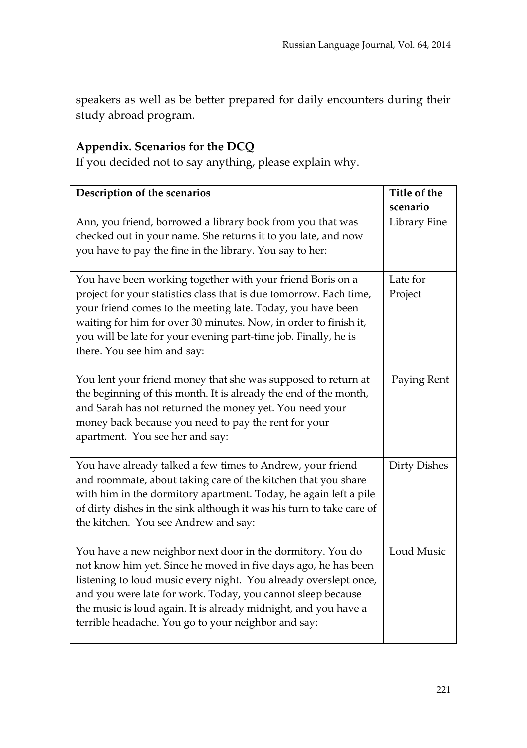speakers as well as be better prepared for daily encounters during their study abroad program.

## **Appendix. Scenarios for the DCQ**

If you decided not to say anything, please explain why.

| Description of the scenarios                                                                                                                                                                                                                                                                                                                                                              | Title of the<br>scenario |
|-------------------------------------------------------------------------------------------------------------------------------------------------------------------------------------------------------------------------------------------------------------------------------------------------------------------------------------------------------------------------------------------|--------------------------|
| Ann, you friend, borrowed a library book from you that was<br>checked out in your name. She returns it to you late, and now<br>you have to pay the fine in the library. You say to her:                                                                                                                                                                                                   | Library Fine             |
| You have been working together with your friend Boris on a<br>project for your statistics class that is due tomorrow. Each time,<br>your friend comes to the meeting late. Today, you have been<br>waiting for him for over 30 minutes. Now, in order to finish it,<br>you will be late for your evening part-time job. Finally, he is<br>there. You see him and say:                     | Late for<br>Project      |
| You lent your friend money that she was supposed to return at<br>the beginning of this month. It is already the end of the month,<br>and Sarah has not returned the money yet. You need your<br>money back because you need to pay the rent for your<br>apartment. You see her and say:                                                                                                   | Paying Rent              |
| You have already talked a few times to Andrew, your friend<br>and roommate, about taking care of the kitchen that you share<br>with him in the dormitory apartment. Today, he again left a pile<br>of dirty dishes in the sink although it was his turn to take care of<br>the kitchen. You see Andrew and say:                                                                           | <b>Dirty Dishes</b>      |
| You have a new neighbor next door in the dormitory. You do<br>not know him yet. Since he moved in five days ago, he has been<br>listening to loud music every night. You already overslept once,<br>and you were late for work. Today, you cannot sleep because<br>the music is loud again. It is already midnight, and you have a<br>terrible headache. You go to your neighbor and say: | Loud Music               |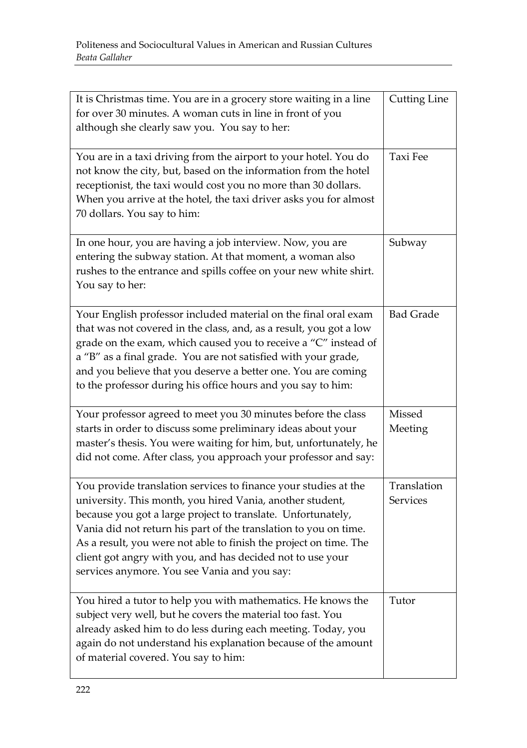| It is Christmas time. You are in a grocery store waiting in a line<br>for over 30 minutes. A woman cuts in line in front of you<br>although she clearly saw you. You say to her:                                                                                                                                                                                                                                                                    | <b>Cutting Line</b>            |
|-----------------------------------------------------------------------------------------------------------------------------------------------------------------------------------------------------------------------------------------------------------------------------------------------------------------------------------------------------------------------------------------------------------------------------------------------------|--------------------------------|
| You are in a taxi driving from the airport to your hotel. You do<br>not know the city, but, based on the information from the hotel<br>receptionist, the taxi would cost you no more than 30 dollars.<br>When you arrive at the hotel, the taxi driver asks you for almost<br>70 dollars. You say to him:                                                                                                                                           | <b>Taxi Fee</b>                |
| In one hour, you are having a job interview. Now, you are<br>entering the subway station. At that moment, a woman also<br>rushes to the entrance and spills coffee on your new white shirt.<br>You say to her:                                                                                                                                                                                                                                      | Subway                         |
| Your English professor included material on the final oral exam<br>that was not covered in the class, and, as a result, you got a low<br>grade on the exam, which caused you to receive a "C" instead of<br>a "B" as a final grade. You are not satisfied with your grade,<br>and you believe that you deserve a better one. You are coming<br>to the professor during his office hours and you say to him:                                         | <b>Bad Grade</b>               |
| Your professor agreed to meet you 30 minutes before the class<br>starts in order to discuss some preliminary ideas about your<br>master's thesis. You were waiting for him, but, unfortunately, he<br>did not come. After class, you approach your professor and say:                                                                                                                                                                               | Missed<br>Meeting              |
| You provide translation services to finance your studies at the<br>university. This month, you hired Vania, another student,<br>because you got a large project to translate. Unfortunately,<br>Vania did not return his part of the translation to you on time.<br>As a result, you were not able to finish the project on time. The<br>client got angry with you, and has decided not to use your<br>services anymore. You see Vania and you say: | Translation<br><b>Services</b> |
| You hired a tutor to help you with mathematics. He knows the<br>subject very well, but he covers the material too fast. You<br>already asked him to do less during each meeting. Today, you<br>again do not understand his explanation because of the amount<br>of material covered. You say to him:                                                                                                                                                | Tutor                          |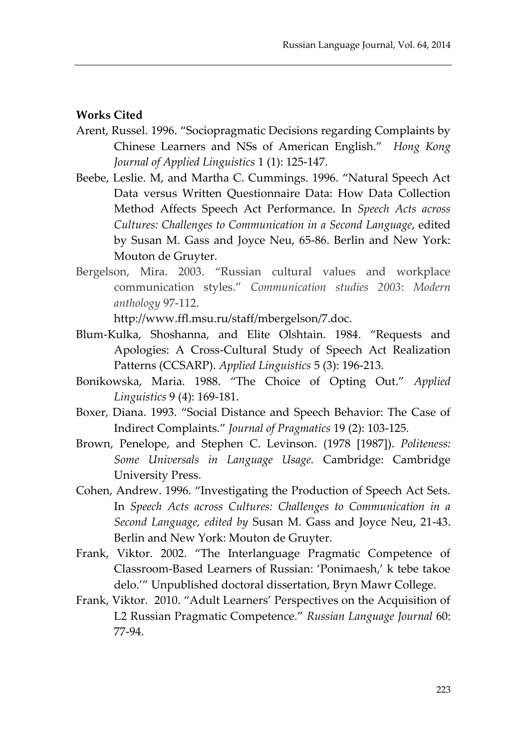#### **Works Cited**

- Arent, Russel. 1996. "Sociopragmatic Decisions regarding Complaints by Chinese Learners and NSs of American English." *Hong Kong Journal of Applied Linguistics* 1 (1): 125-147.
- Beebe, Leslie. M, and Martha C. Cummings. 1996. "Natural Speech Act Data versus Written Questionnaire Data: How Data Collection Method Affects Speech Act Performance. In *Speech Acts across Cultures: Challenges to Communication in a Second Language*, edited by Susan M. Gass and Joyce Neu, 65-86. Berlin and New York: Mouton de Gruyter.
- Bergelson, Mira. 2003. "Russian cultural values and workplace communication styles." *Communication studies 2003*: *Modern anthology* 97-112.

[http://www.ffl.msu.ru/staff/mbergelson/7.doc.](http://www.ffl.msu.ru/staff/mbergelson/7.doc)

- Blum-Kulka, Shoshanna, and Elite Olshtain. 1984. "Requests and Apologies: A Cross-Cultural Study of Speech Act Realization Patterns (CCSARP). *Applied Linguistics* 5 (3): 196-213.
- Bonikowska, Maria. 1988. "The Choice of Opting Out." *Applied Linguistics* 9 (4): 169-181.
- Boxer, Diana. 1993. "Social Distance and Speech Behavior: The Case of Indirect Complaints." *Journal of Pragmatics* 19 (2): 103-125*.*
- Brown, Penelope, and Stephen C. Levinson. (1978 [1987]). *Politeness: Some Universals in Language Usage.* Cambridge: Cambridge University Press.
- Cohen, Andrew. 1996. "Investigating the Production of Speech Act Sets. In *Speech Acts across Cultures: Challenges to Communication in a Second Language, edited by* Susan M. Gass and Joyce Neu, 21-43. Berlin and New York: Mouton de Gruyter.
- Frank, Viktor. 2002. "The Interlanguage Pragmatic Competence of Classroom-Based Learners of Russian: 'Ponimaesh,' k tebe takoe delo.'" Unpublished doctoral dissertation, Bryn Mawr College.
- Frank, Viktor. 2010. "Adult Learners' Perspectives on the Acquisition of L2 Russian Pragmatic Competence." *Russian Language Journal* 60: 77-94.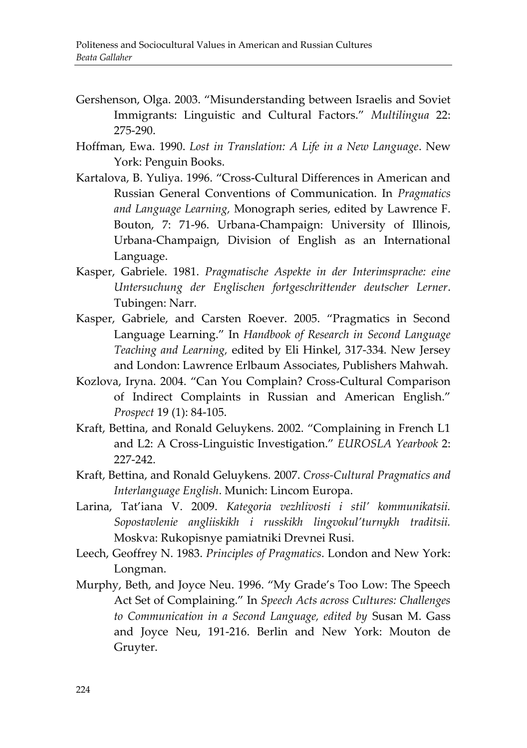- Gershenson, Olga. 2003. "Misunderstanding between Israelis and Soviet Immigrants: Linguistic and Cultural Factors." *Multilingua* 22: 275-290.
- Hoffman, Ewa. 1990. *Lost in Translation: A Life in a New Language*. New York: Penguin Books.
- Kartalova, B. Yuliya. 1996. "Cross-Cultural Differences in American and Russian General Conventions of Communication. In *Pragmatics and Language Learning,* Monograph series, edited by Lawrence F. Bouton, 7: 71-96. Urbana-Champaign: University of Illinois, Urbana-Champaign, Division of English as an International Language.
- Kasper, Gabriele. 1981. *Pragmatische Aspekte in der Interimsprache: eine Untersuchung der Englischen fortgeschrittender deutscher Lerner*. Tubingen: Narr.
- Kasper, Gаbriele, and Carsten Roever. 2005. "Pragmatics in Second Language Learning." In *Handbook of Research in Second Language Teaching and Learning,* edited by Eli Hinkel, 317-334*.* New Jersey and London: Lawrence Erlbaum Associates, Publishers Mahwah.
- Kozlova, Iryna. 2004. "Can You Complain? Cross-Cultural Comparison of Indirect Complaints in Russian and American English." *Prospect* 19 (1): 84-105.
- Kraft, Bettina, and Ronald Geluykens. 2002. "Complaining in French L1 and L2: A Cross-Linguistic Investigation." *EUROSLA Yearbook* 2: 227-242.
- Kraft, Bettina, and Ronald Geluykens*.* 2007. *Cross-Cultural Pragmatics and Interlanguage English*. Munich: Lincom Europa.
- Larina, Tat'iana V. 2009. *Kategoria vezhlivosti i stil' kommunikatsii. Sopostavlenie angliiskikh i russkikh lingvokul'turnykh traditsii.* Moskva: Rukopisnye pamiatniki Drevnei Rusi.
- Leech, Geoffrey N. 1983. *Principles of Pragmatics*. London and New York: Longman.
- Murphy, Beth, and Joyce Neu. 1996. "My Grade's Too Low: The Speech Act Set of Complaining." In *Speech Acts across Cultures: Challenges to Communication in a Second Language, edited by* Susan M. Gass and Joyce Neu, 191-216. Berlin and New York: Mouton de Gruyter.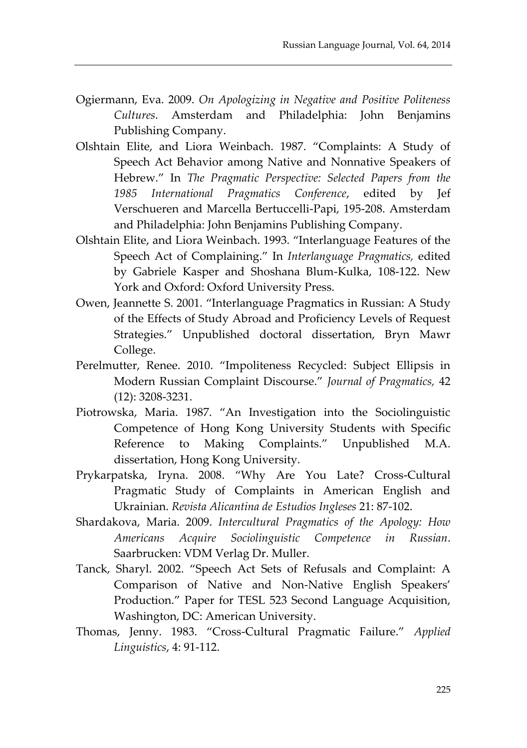- Ogiermann, Eva. 2009. *On Apologizing in Negative and Positive Politeness Cultures*. Amsterdam and Philadelphia: John Benjamins Publishing Company.
- Olshtain Elite, and Liora Weinbach. 1987. "Complaints: A Study of Speech Act Behavior among Native and Nonnative Speakers of Hebrew." In *The Pragmatic Perspective: Selected Papers from the 1985 International Pragmatics Conference*, edited by Jef Verschueren and Marcella Bertuccelli-Papi, 195-208. Amsterdam and Philadelphia: John Benjamins Publishing Company.
- Olshtain Elite, and Liora Weinbach. 1993. "Interlanguage Features of the Speech Act of Complaining." In *Interlanguage Pragmatics,* edited by Gabriele Kasper and Shoshana Blum-Kulka, 108-122. New York and Oxford: Oxford University Press.
- Owen, Jeannette S. 2001. "Interlanguage Pragmatics in Russian: A Study of the Effects of Study Abroad and Proficiency Levels of Request Strategies." Unpublished doctoral dissertation, Bryn Mawr College.
- Perelmutter, Renee. 2010. "Impoliteness Recycled: Subject Ellipsis in Modern Russian Complaint Discourse." *Journal of Pragmatics,* 42 (12): 3208-3231.
- Piotrowska, Maria. 1987. "An Investigation into the Sociolinguistic Competence of Hong Kong University Students with Specific Reference to Making Complaints." Unpublished M.A. dissertation, Hong Kong University.
- Prykarpatska, Iryna. 2008. "Why Are You Late? Cross-Cultural Pragmatic Study of Complaints in American English and Ukrainian. *Revista Alicantina de Estudios Ingleses* 21: 87-102.
- Shardakova, Maria. 2009. *Intercultural Pragmatics of the Apology: How Americans Acquire Sociolinguistic Competence in Russian*. Saarbrucken: VDM Verlag Dr. Muller.
- Tanck, Sharyl. 2002. "Speech Act Sets of Refusals and Complaint: A Comparison of Native and Non-Native English Speakers' Production." Paper for TESL 523 Second Language Acquisition, Washington, DC: American University.
- Thomas, Jenny. 1983. "Cross-Cultural Pragmatic Failure." *Applied Linguistics*, 4: 91-112.